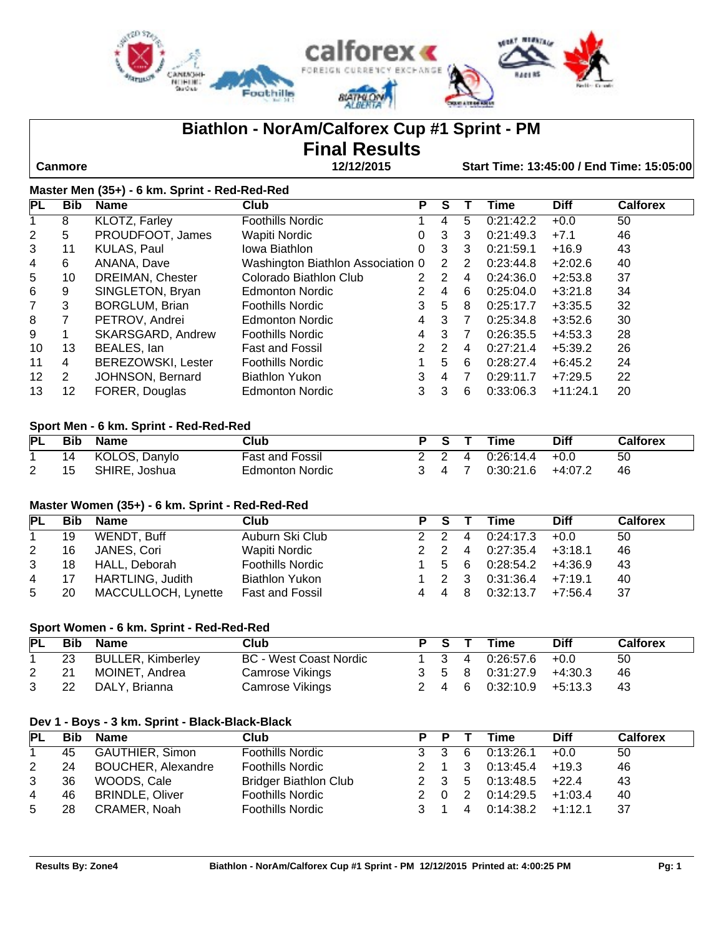

# **Biathlon - NorAm/Calforex Cup #1 Sprint - PM**

# **Final Results**

 **Canmore 12/12/2015 Start Time: 13:45:00 / End Time: 15:05:00**

| Master Men (35+) - 6 km. Sprint - Red-Red-Red |                      |                           |                                   |    |    |   |           |             |                 |  |
|-----------------------------------------------|----------------------|---------------------------|-----------------------------------|----|----|---|-----------|-------------|-----------------|--|
| <b>PL</b>                                     | <b>Bib</b>           | <b>Name</b>               | Club                              | Р  | S  |   | Time      | <b>Diff</b> | <b>Calforex</b> |  |
|                                               | 8                    | <b>KLOTZ, Farley</b>      | <b>Foothills Nordic</b>           |    | 4  | 5 | 0:21:42.2 | $+0.0$      | 50              |  |
| $\overline{2}$                                | 5                    | PROUDFOOT, James          | Wapiti Nordic                     | 0  | 3  | 3 | 0:21:49.3 | $+7.1$      | 46              |  |
| 3                                             | 11                   | KULAS, Paul               | Iowa Biathlon                     | 0  | 3  | 3 | 0:21:59.1 | $+16.9$     | 43              |  |
| 4                                             | 6                    | ANANA, Dave               | Washington Biathlon Association 0 |    | 2  | 2 | 0:23:44.8 | $+2:02.6$   | 40              |  |
| 5                                             | 10                   | DREIMAN, Chester          | Colorado Biathlon Club            | 2  | 2  | 4 | 0:24:36.0 | $+2:53.8$   | 37              |  |
| 6                                             | 9                    | SINGLETON, Bryan          | <b>Edmonton Nordic</b>            | 2. | 4  | 6 | 0:25:04.0 | $+3:21.8$   | 34              |  |
| 7                                             | 3                    | <b>BORGLUM, Brian</b>     | <b>Foothills Nordic</b>           | 3  | 5  | 8 | 0:25:17.7 | $+3:35.5$   | 32              |  |
| 8                                             |                      | PETROV, Andrei            | Edmonton Nordic                   | 4  | 3  | 7 | 0:25:34.8 | $+3:52.6$   | 30              |  |
| 9                                             |                      | SKARSGARD, Andrew         | <b>Foothills Nordic</b>           | 4  | 3  | 7 | 0:26:35.5 | $+4:53.3$   | 28              |  |
| 10                                            | 13                   | BEALES, Ian               | <b>Fast and Fossil</b>            | 2  | 2  | 4 | 0:27:21.4 | $+5:39.2$   | 26              |  |
| 11                                            | 4                    | <b>BEREZOWSKI, Lester</b> | <b>Foothills Nordic</b>           | 1  | 5. | 6 | 0:28:27.4 | $+6:45.2$   | 24              |  |
| 12 <sup>2</sup>                               | $\mathbf{2}^{\circ}$ | JOHNSON, Bernard          | <b>Biathlon Yukon</b>             | 3  | 4  | 7 | 0:29:11.7 | $+7:29.5$   | 22              |  |
| 13                                            | 12                   | FORER, Douglas            | <b>Edmonton Nordic</b>            | 3  | 3  | 6 | 0:33:06.3 | $+11:24.1$  | 20              |  |

#### **Sport Men - 6 km. Sprint - Red-Red-Red**

| PL | Bib | <b>Name</b>   | Club                   |  | $\sim$ S T | Time      | <b>Diff</b> | <b>Calforex</b> |
|----|-----|---------------|------------------------|--|------------|-----------|-------------|-----------------|
|    | 14  | KOLOS, Danylo | <b>Fast and Fossil</b> |  |            |           | $+0.0$      | 50              |
|    | 15  | SHIRE, Joshua | <b>Edmonton Nordic</b> |  |            | 0:30:21.6 | $+4:07.2$   | 46              |

#### **Master Women (35+) - 6 km. Sprint - Red-Red-Red**

| PL |    | Bib Name                | <b>Club</b>             | PS T  | Time                                | <b>Diff</b> | <b>Calforex</b> |
|----|----|-------------------------|-------------------------|-------|-------------------------------------|-------------|-----------------|
|    | 19 | WENDT, Buff             | Auburn Ski Club         | 2 2 4 | 0:24:17.3                           | $+0.0$      | 50              |
| 2  | 16 | JANES, Cori             | Wapiti Nordic           | 2 2 4 | 0:27:35.4                           | $+3:18.1$   | 46              |
| 3  | 18 | HALL, Deborah           | <b>Foothills Nordic</b> |       | 1 5 6 0:28:54.2                     | +4:36.9     | 43              |
| 4  | 17 | <b>HARTLING, Judith</b> | <b>Biathlon Yukon</b>   |       | $1 \quad 2 \quad 3 \quad 0:31:36.4$ | +7:19.1     | 40              |
| 5  | 20 | MACCULLOCH, Lynette     | Fast and Fossil         |       | 4 4 8 0:32:13.7                     | +7:56.4     | -37             |

# **Sport Women - 6 km. Sprint - Red-Red-Red**

| <b>PL</b> | Bib | Name                     | Club                   |       | P S T Time                                        | <b>Diff</b> | <b>Calforex</b> |
|-----------|-----|--------------------------|------------------------|-------|---------------------------------------------------|-------------|-----------------|
|           | 23  | <b>BULLER, Kimberley</b> | BC - West Coast Nordic | 1 3 4 | $0.26:57.6$ +0.0                                  |             | 50              |
|           | -21 | MOINET, Andrea           | Camrose Vikings        |       | $3 \quad 5 \quad 8 \quad 0:31:27.9 \quad +4:30.3$ |             | -46             |
|           | 22  | DALY, Brianna            | Camrose Vikings        |       | $2 \quad 4 \quad 6 \quad 0.32:10.9 \quad +5.13.3$ |             | -43             |

#### **Dev 1 - Boys - 3 km. Sprint - Black-Black-Black**

| <b>PL</b> | <b>Bib</b> | Name                      | Club                         | P P   |                | Time                | <b>Diff</b> | <b>Calforex</b> |
|-----------|------------|---------------------------|------------------------------|-------|----------------|---------------------|-------------|-----------------|
|           | 45         | <b>GAUTHIER, Simon</b>    | <b>Foothills Nordic</b>      | 3 3 6 |                | 0:13:26.1           | $+0.0$      | 50              |
| 2         | 24         | <b>BOUCHER, Alexandre</b> | <b>Foothills Nordic</b>      | 2 1 3 |                | 0:13:45.4           | $+19.3$     | 46              |
| 3         | 36         | WOODS, Cale               | <b>Bridger Biathlon Club</b> |       |                | 2 3 5 0:13:48.5     | $+22.4$     | 43              |
| 4         | 46         | <b>BRINDLE, Oliver</b>    | <b>Foothills Nordic</b>      | 2 0 2 |                | 0:14:29.5           | $+1:03.4$   | 40              |
| 5         | 28         | CRAMER, Noah              | <b>Foothills Nordic</b>      |       | $\overline{4}$ | $0:14:38.2$ +1:12.1 |             | 37              |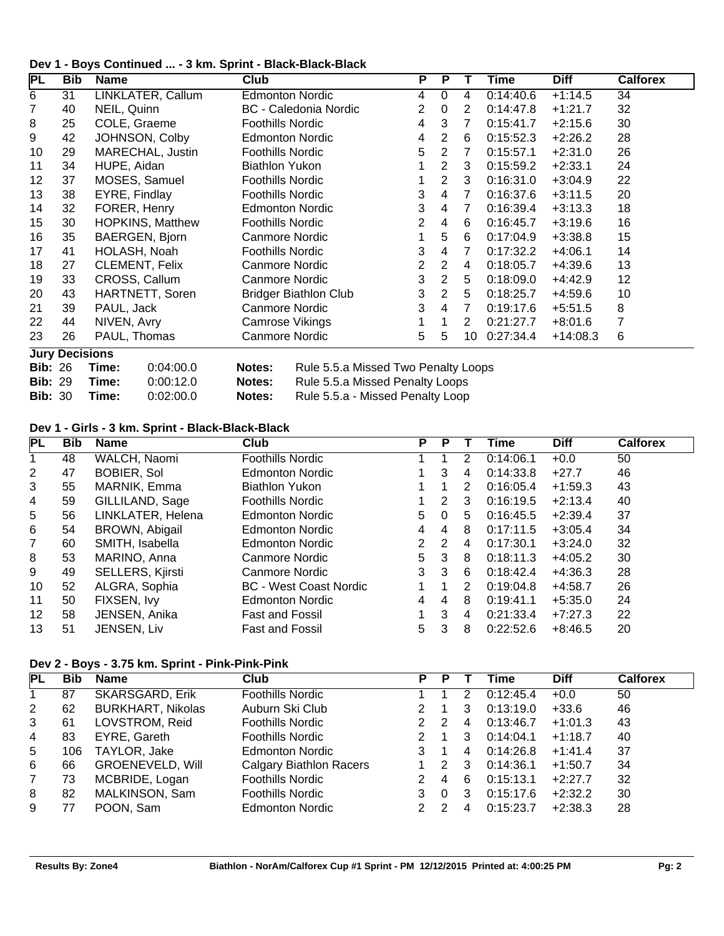|  | Dev 1 - Boys Continued  - 3 km. Sprint - Black-Black-Black |  |  |
|--|------------------------------------------------------------|--|--|
|--|------------------------------------------------------------|--|--|

| <b>PL</b>      | Bib                   | <b>Name</b>             | <b>Club</b>                                   | P              | P              |                | Time      | <b>Diff</b> | <b>Calforex</b> |  |
|----------------|-----------------------|-------------------------|-----------------------------------------------|----------------|----------------|----------------|-----------|-------------|-----------------|--|
| $\overline{6}$ | 31                    | LINKLATER, Callum       | <b>Edmonton Nordic</b>                        | 4              | 0              | 4              | 0:14:40.6 | $+1:14.5$   | 34              |  |
| 7              | 40                    | NEIL, Quinn             | <b>BC</b> - Caledonia Nordic                  | 2              | $\Omega$       | 2              | 0:14:47.8 | $+1:21.7$   | 32              |  |
| 8              | 25                    | COLE, Graeme            | <b>Foothills Nordic</b>                       | 4              | 3              | $\overline{7}$ | 0:15:41.7 | $+2:15.6$   | 30              |  |
| 9              | 42                    | JOHNSON, Colby          | <b>Edmonton Nordic</b>                        | 4              | 2              | 6              | 0:15:52.3 | $+2:26.2$   | 28              |  |
| 10             | 29                    | MARECHAL, Justin        | <b>Foothills Nordic</b>                       | 5              | 2              | $\overline{7}$ | 0:15:57.1 | $+2:31.0$   | 26              |  |
| 11             | 34                    | HUPE, Aidan             | <b>Biathlon Yukon</b>                         |                | $\overline{2}$ | 3              | 0:15:59.2 | $+2:33.1$   | 24              |  |
| 12             | 37                    | MOSES, Samuel           | Foothills Nordic                              |                | 2              | 3              | 0:16:31.0 | $+3:04.9$   | 22              |  |
| 13             | 38                    | EYRE, Findlay           | <b>Foothills Nordic</b>                       | 3              | 4              | 7              | 0:16:37.6 | $+3:11.5$   | 20              |  |
| 14             | 32                    | FORER, Henry            | <b>Edmonton Nordic</b>                        | 3              | 4              | $\overline{7}$ | 0:16:39.4 | $+3:13.3$   | 18              |  |
| 15             | 30                    | <b>HOPKINS, Matthew</b> | <b>Foothills Nordic</b>                       | $\overline{2}$ | 4              | 6              | 0:16:45.7 | $+3:19.6$   | 16              |  |
| 16             | 35                    | BAERGEN, Bjorn          | Canmore Nordic                                |                | 5              | 6              | 0:17:04.9 | $+3:38.8$   | 15              |  |
| 17             | 41                    | HOLASH, Noah            | <b>Foothills Nordic</b>                       | 3              | 4              | 7              | 0:17:32.2 | $+4:06.1$   | 14              |  |
| 18             | 27                    | <b>CLEMENT, Felix</b>   | Canmore Nordic                                | $\overline{2}$ | $\overline{2}$ | 4              | 0:18:05.7 | +4:39.6     | 13              |  |
| 19             | 33                    | CROSS, Callum           | Canmore Nordic                                | 3              | $\overline{2}$ | 5              | 0:18:09.0 | $+4:42.9$   | 12              |  |
| 20             | 43                    | HARTNETT, Soren         | <b>Bridger Biathlon Club</b>                  | 3              | $\overline{2}$ | 5              | 0:18:25.7 | $+4:59.6$   | 10              |  |
| 21             | 39                    | PAUL, Jack              | Canmore Nordic                                | 3              | 4              | $\overline{7}$ | 0:19:17.6 | $+5:51.5$   | 8               |  |
| 22             | 44                    | NIVEN, Avry             | Camrose Vikings                               |                |                | $\overline{2}$ | 0:21:27.7 | $+8:01.6$   | 7               |  |
| 23             | 26                    | PAUL, Thomas            | Canmore Nordic                                | 5              | 5              | 10             | 0:27:34.4 | $+14:08.3$  | 6               |  |
|                | <b>Jury Decisions</b> |                         |                                               |                |                |                |           |             |                 |  |
| <b>Bib: 26</b> |                       | 0:04:00.0<br>Time:      | Rule 5.5.a Missed Two Penalty Loops<br>Notes: |                |                |                |           |             |                 |  |

**Bib:** 29 **Time:** 0:00:12.0 **Notes:** Rule 5.5.a Missed Penalty Loops

**Bib:** 30 **Time:** 0:02:00.0 **Notes:** Rule 5.5.a - Missed Penalty Loop

### **Dev 1 - Girls - 3 km. Sprint - Black-Black-Black**

| <b>PL</b>      | <b>Bib</b> | <b>Name</b>        | Club                          | Р                    | P |   | Time      | <b>Diff</b> | <b>Calforex</b> |
|----------------|------------|--------------------|-------------------------------|----------------------|---|---|-----------|-------------|-----------------|
|                | 48         | WALCH, Naomi       | <b>Foothills Nordic</b>       |                      |   | 2 | 0:14:06.1 | $+0.0$      | 50              |
| 2              | 47         | <b>BOBIER, Sol</b> | <b>Edmonton Nordic</b>        |                      | 3 | 4 | 0:14:33.8 | $+27.7$     | 46              |
| 3              | 55         | MARNIK, Emma       | <b>Biathlon Yukon</b>         |                      |   | 2 | 0:16:05.4 | $+1:59.3$   | 43              |
| 4              | 59         | GILLILAND, Sage    | <b>Foothills Nordic</b>       |                      | 2 | 3 | 0:16:19.5 | $+2:13.4$   | 40              |
| 5              | 56         | LINKLATER, Helena  | Edmonton Nordic               | 5.                   | 0 | 5 | 0:16:45.5 | $+2:39.4$   | 37              |
| 6              | 54         | BROWN, Abigail     | Edmonton Nordic               | $\overline{4}$       | 4 | 8 | 0:17:11.5 | $+3:05.4$   | 34              |
| $\overline{7}$ | 60         | SMITH, Isabella    | Edmonton Nordic               | $\mathbf{2}^{\circ}$ | 2 | 4 | 0:17:30.1 | $+3:24.0$   | 32              |
| 8              | 53         | MARINO, Anna       | Canmore Nordic                | 5                    | 3 | 8 | 0:18:11.3 | $+4:05.2$   | 30              |
| 9              | 49         | SELLERS, Kjirsti   | Canmore Nordic                | 3                    | 3 | 6 | 0:18:42.4 | $+4:36.3$   | 28              |
| 10             | 52         | ALGRA, Sophia      | <b>BC</b> - West Coast Nordic |                      |   | 2 | 0:19:04.8 | $+4:58.7$   | 26              |
| 11             | 50         | FIXSEN, Ivy        | <b>Edmonton Nordic</b>        | 4                    | 4 | 8 | 0:19:41.1 | $+5:35.0$   | 24              |
| 12             | 58         | JENSEN, Anika      | <b>Fast and Fossil</b>        |                      | 3 | 4 | 0:21:33.4 | $+7:27.3$   | 22              |
| 13             | 51         | JENSEN, Liv        | <b>Fast and Fossil</b>        | 5.                   | 3 | 8 | 0:22:52.6 | $+8:46.5$   | 20              |

#### **Dev 2 - Boys - 3.75 km. Sprint - Pink-Pink-Pink**

| <b>PL</b>      | <b>Bib</b> | <b>Name</b>              | Club                           | Р | Р             |   | Time      | <b>Diff</b> | <b>Calforex</b> |
|----------------|------------|--------------------------|--------------------------------|---|---------------|---|-----------|-------------|-----------------|
|                | 87         | <b>SKARSGARD, Erik</b>   | <b>Foothills Nordic</b>        |   |               | 2 | 0:12:45.4 | $+0.0$      | 50              |
| 2              | 62         | <b>BURKHART, Nikolas</b> | Auburn Ski Club                |   |               | 3 | 0:13:19.0 | $+33.6$     | 46              |
| 3              | 61         | LOVSTROM, Reid           | <b>Foothills Nordic</b>        |   | 2             | 4 | 0:13:46.7 | $+1:01.3$   | 43              |
| $\overline{4}$ | 83         | EYRE, Gareth             | <b>Foothills Nordic</b>        |   |               | 3 | 0:14:04.1 | $+1:18.7$   | 40              |
| 5              | 106        | TAYLOR, Jake             | <b>Edmonton Nordic</b>         |   |               | 4 | 0:14:26.8 | $+1:41.4$   | 37              |
| 6              | 66         | <b>GROENEVELD, Will</b>  | <b>Calgary Biathlon Racers</b> |   | $\mathcal{P}$ | 3 | 0:14:36.1 | $+1:50.7$   | 34              |
| $\overline{7}$ | 73         | MCBRIDE, Logan           | <b>Foothills Nordic</b>        |   | 4             | 6 | 0:15:13.1 | $+2:27.7$   | 32              |
| 8              | 82         | MALKINSON, Sam           | <b>Foothills Nordic</b>        | 3 | 0             | 3 | 0:15:17.6 | $+2:32.2$   | 30              |
| 9              | 77         | POON, Sam                | <b>Edmonton Nordic</b>         |   | っ             |   | 0:15:23.7 | $+2:38.3$   | 28              |